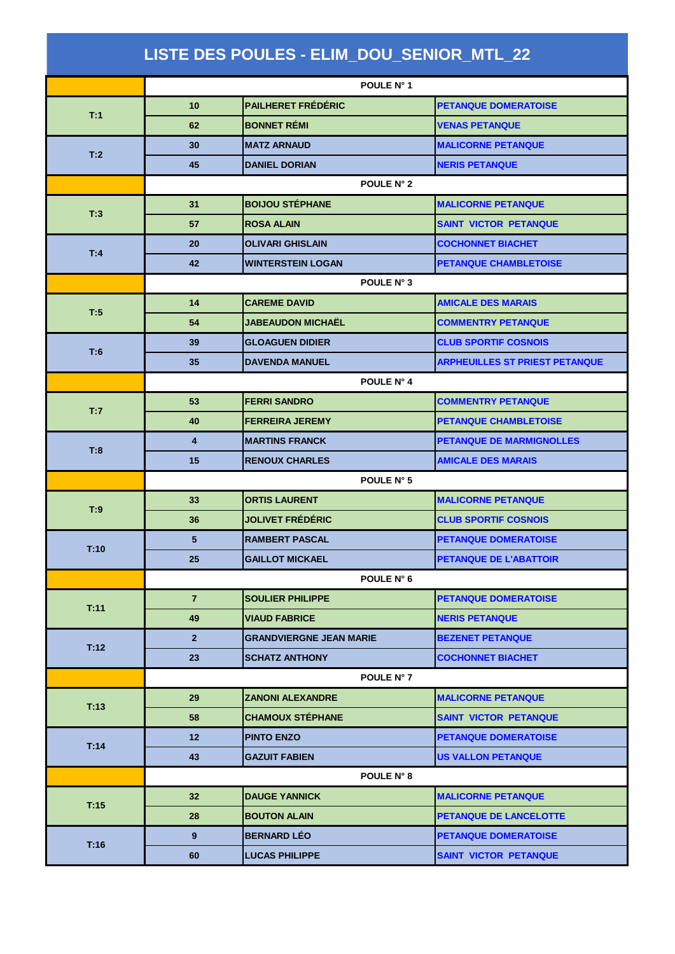| LISTE DES POULES - ELIM_DOU_SENIOR_MTL_22 |                   |                                |                                       |  |  |  |
|-------------------------------------------|-------------------|--------------------------------|---------------------------------------|--|--|--|
|                                           | POULE N° 1        |                                |                                       |  |  |  |
| T:1                                       | 10 <sup>1</sup>   | <b>PAILHERET FRÉDÉRIC</b>      | <b>PETANQUE DOMERATOISE</b>           |  |  |  |
|                                           | 62                | <b>BONNET RÉMI</b>             | <b>VENAS PETANQUE</b>                 |  |  |  |
| T:2                                       | 30                | <b>MATZ ARNAUD</b>             | <b>MALICORNE PETANQUE</b>             |  |  |  |
|                                           | 45                | <b>DANIEL DORIAN</b>           | <b>NERIS PETANQUE</b>                 |  |  |  |
|                                           | <b>POULE N° 2</b> |                                |                                       |  |  |  |
| T:3                                       | 31                | <b>BOIJOU STÉPHANE</b>         | <b>MALICORNE PETANQUE</b>             |  |  |  |
|                                           | 57                | <b>ROSA ALAIN</b>              | <b>SAINT VICTOR PETANQUE</b>          |  |  |  |
|                                           | 20                | <b>OLIVARI GHISLAIN</b>        | <b>COCHONNET BIACHET</b>              |  |  |  |
| T:4                                       | 42                | <b>WINTERSTEIN LOGAN</b>       | <b>PETANQUE CHAMBLETOISE</b>          |  |  |  |
|                                           | POULE N° 3        |                                |                                       |  |  |  |
|                                           | 14                | <b>CAREME DAVID</b>            | <b>AMICALE DES MARAIS</b>             |  |  |  |
| T:5                                       | 54                | <b>JABEAUDON MICHAËL</b>       | <b>COMMENTRY PETANQUE</b>             |  |  |  |
|                                           | 39                | <b>GLOAGUEN DIDIER</b>         | <b>CLUB SPORTIF COSNOIS</b>           |  |  |  |
| T:6                                       | 35                | <b>DAVENDA MANUEL</b>          | <b>ARPHEUILLES ST PRIEST PETANQUE</b> |  |  |  |
|                                           |                   | POULE N° 4                     |                                       |  |  |  |
|                                           | 53                | <b>FERRI SANDRO</b>            | <b>COMMENTRY PETANQUE</b>             |  |  |  |
| T:7                                       | 40                | <b>FERREIRA JEREMY</b>         | <b>PETANQUE CHAMBLETOISE</b>          |  |  |  |
|                                           | 4                 | <b>MARTINS FRANCK</b>          | <b>PETANQUE DE MARMIGNOLLES</b>       |  |  |  |
| T:8                                       | 15                | <b>RENOUX CHARLES</b>          | <b>AMICALE DES MARAIS</b>             |  |  |  |
|                                           | POULE N° 5        |                                |                                       |  |  |  |
|                                           | 33                | <b>ORTIS LAURENT</b>           | <b>MALICORNE PETANQUE</b>             |  |  |  |
| T:9                                       | 36                | <b>JOLIVET FRÉDÉRIC</b>        | <b>CLUB SPORTIF COSNOIS</b>           |  |  |  |
|                                           | 5                 | <b>RAMBERT PASCAL</b>          | <b>PETANQUE DOMERATOISE</b>           |  |  |  |
| T:10                                      | 25                | <b>GAILLOT MICKAEL</b>         | <b>PETANQUE DE L'ABATTOIR</b>         |  |  |  |
|                                           | POULE N° 6        |                                |                                       |  |  |  |
|                                           | $\overline{7}$    | <b>SOULIER PHILIPPE</b>        | <b>PETANQUE DOMERATOISE</b>           |  |  |  |
| T:11                                      | 49                | <b>VIAUD FABRICE</b>           | <b>NERIS PETANQUE</b>                 |  |  |  |
|                                           | $\overline{2}$    | <b>GRANDVIERGNE JEAN MARIE</b> | <b>BEZENET PETANQUE</b>               |  |  |  |
| T:12                                      | 23                | <b>SCHATZ ANTHONY</b>          | <b>COCHONNET BIACHET</b>              |  |  |  |
|                                           |                   | POULE N° 7                     |                                       |  |  |  |
|                                           | 29                | ZANONI ALEXANDRE               | <b>MALICORNE PETANQUE</b>             |  |  |  |
| T:13                                      | 58                | <b>CHAMOUX STÉPHANE</b>        | <b>SAINT VICTOR PETANQUE</b>          |  |  |  |
|                                           | 12 <sub>2</sub>   | <b>PINTO ENZO</b>              | <b>PETANQUE DOMERATOISE</b>           |  |  |  |
| T:14                                      | 43                | <b>GAZUIT FABIEN</b>           | <b>US VALLON PETANQUE</b>             |  |  |  |
|                                           |                   | POULE N° 8                     |                                       |  |  |  |
| T:15                                      | 32                | <b>DAUGE YANNICK</b>           | <b>MALICORNE PETANQUE</b>             |  |  |  |
|                                           | 28                | <b>BOUTON ALAIN</b>            | <b>PETANQUE DE LANCELOTTE</b>         |  |  |  |
| T:16                                      | 9                 | <b>BERNARD LÉO</b>             | <b>PETANQUE DOMERATOISE</b>           |  |  |  |
|                                           | 60                | <b>LUCAS PHILIPPE</b>          | <b>SAINT VICTOR PETANQUE</b>          |  |  |  |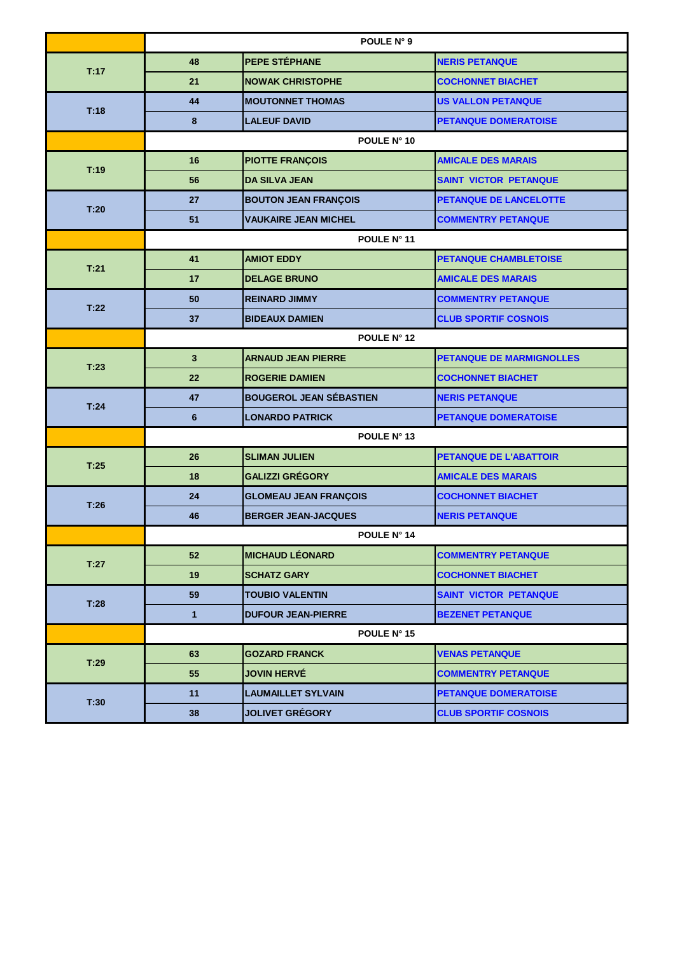|      | POULE N° 9   |                                |                              |  |  |
|------|--------------|--------------------------------|------------------------------|--|--|
| T:17 | 48           | PEPE STÉPHANE                  | <b>NERIS PETANQUE</b>        |  |  |
|      | 21           | <b>NOWAK CHRISTOPHE</b>        | <b>COCHONNET BIACHET</b>     |  |  |
| T:18 | 44           | <b>MOUTONNET THOMAS</b>        | <b>US VALLON PETANQUE</b>    |  |  |
|      | 8            | <b>LALEUF DAVID</b>            | <b>PETANQUE DOMERATOISE</b>  |  |  |
|      | POULE N° 10  |                                |                              |  |  |
| T:19 | 16           | <b>PIOTTE FRANÇOIS</b>         | <b>AMICALE DES MARAIS</b>    |  |  |
|      | 56           | <b>DA SILVA JEAN</b>           | <b>SAINT VICTOR PETANQUE</b> |  |  |
| T:20 | 27           | <b>BOUTON JEAN FRANÇOIS</b>    | PETANQUE DE LANCELOTTE       |  |  |
|      | 51           | <b>VAUKAIRE JEAN MICHEL</b>    | <b>COMMENTRY PETANQUE</b>    |  |  |
|      | POULE N° 11  |                                |                              |  |  |
| T:21 | 41           | <b>AMIOT EDDY</b>              | PETANQUE CHAMBLETOISE        |  |  |
|      | 17           | <b>DELAGE BRUNO</b>            | <b>AMICALE DES MARAIS</b>    |  |  |
| T:22 | 50           | <b>REINARD JIMMY</b>           | <b>COMMENTRY PETANQUE</b>    |  |  |
|      | 37           | <b>BIDEAUX DAMIEN</b>          | <b>CLUB SPORTIF COSNOIS</b>  |  |  |
|      | POULE N° 12  |                                |                              |  |  |
| T:23 | $\mathbf{3}$ | <b>ARNAUD JEAN PIERRE</b>      | PETANQUE DE MARMIGNOLLES     |  |  |
|      | 22           | <b>ROGERIE DAMIEN</b>          | <b>COCHONNET BIACHET</b>     |  |  |
| T:24 | 47           | <b>BOUGEROL JEAN SÉBASTIEN</b> | <b>NERIS PETANQUE</b>        |  |  |
|      | 6            | <b>LONARDO PATRICK</b>         | <b>PETANQUE DOMERATOISE</b>  |  |  |
|      | POULE N° 13  |                                |                              |  |  |
| T:25 | 26           | <b>SLIMAN JULIEN</b>           | PETANQUE DE L'ABATTOIR       |  |  |
|      | 18           | <b>GALIZZI GRÉGORY</b>         | <b>AMICALE DES MARAIS</b>    |  |  |
| T:26 | 24           | <b>GLOMEAU JEAN FRANÇOIS</b>   | <b>COCHONNET BIACHET</b>     |  |  |
|      | 46           | <b>BERGER JEAN-JACQUES</b>     | <b>NERIS PETANQUE</b>        |  |  |
|      | POULE N° 14  |                                |                              |  |  |
| T:27 | 52           | <b>MICHAUD LÉONARD</b>         | <b>COMMENTRY PETANQUE</b>    |  |  |
|      | 19           | <b>SCHATZ GARY</b>             | <b>COCHONNET BIACHET</b>     |  |  |
| T:28 | 59           | <b>TOUBIO VALENTIN</b>         | <b>SAINT VICTOR PETANQUE</b> |  |  |
|      | $\mathbf{1}$ | <b>DUFOUR JEAN-PIERRE</b>      | <b>BEZENET PETANQUE</b>      |  |  |
|      | POULE N° 15  |                                |                              |  |  |
| T:29 | 63           | <b>GOZARD FRANCK</b>           | <b>VENAS PETANQUE</b>        |  |  |
|      | 55           | <b>JOVIN HERVÉ</b>             | <b>COMMENTRY PETANQUE</b>    |  |  |
| T:30 | 11           | <b>LAUMAILLET SYLVAIN</b>      | <b>PETANQUE DOMERATOISE</b>  |  |  |
|      | 38           | <b>JOLIVET GRÉGORY</b>         | <b>CLUB SPORTIF COSNOIS</b>  |  |  |